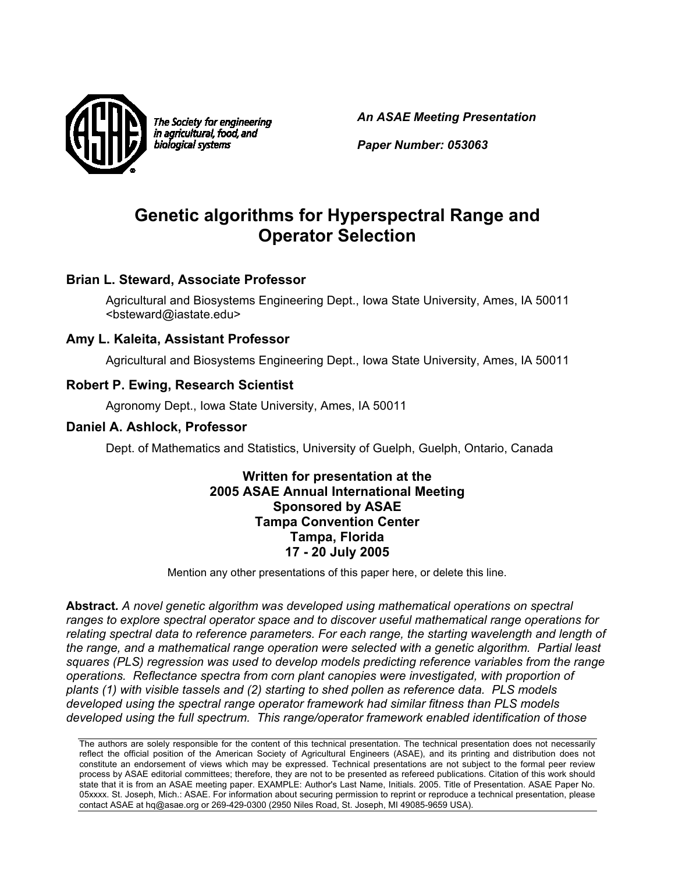

The Society for engineering in agricultural, food, and biological systems

*An ASAE Meeting Presentation*

*Paper Number: 053063*

# **Genetic algorithms for Hyperspectral Range and Operator Selection**

### **Brian L. Steward, Associate Professor**

Agricultural and Biosystems Engineering Dept., Iowa State University, Ames, IA 50011 <bsteward@iastate.edu>

### **Amy L. Kaleita, Assistant Professor**

Agricultural and Biosystems Engineering Dept., Iowa State University, Ames, IA 50011

### **Robert P. Ewing, Research Scientist**

Agronomy Dept., Iowa State University, Ames, IA 50011

#### **Daniel A. Ashlock, Professor**

Dept. of Mathematics and Statistics, University of Guelph, Guelph, Ontario, Canada

#### **Written for presentation at the 2005 ASAE Annual International Meeting Sponsored by ASAE Tampa Convention Center Tampa, Florida 17 - 20 July 2005**

Mention any other presentations of this paper here, or delete this line.

**Abstract***. A novel genetic algorithm was developed using mathematical operations on spectral ranges to explore spectral operator space and to discover useful mathematical range operations for relating spectral data to reference parameters. For each range, the starting wavelength and length of the range, and a mathematical range operation were selected with a genetic algorithm. Partial least squares (PLS) regression was used to develop models predicting reference variables from the range operations. Reflectance spectra from corn plant canopies were investigated, with proportion of plants (1) with visible tassels and (2) starting to shed pollen as reference data. PLS models developed using the spectral range operator framework had similar fitness than PLS models developed using the full spectrum. This range/operator framework enabled identification of those* 

The authors are solely responsible for the content of this technical presentation. The technical presentation does not necessarily reflect the official position of the American Society of Agricultural Engineers (ASAE), and its printing and distribution does not constitute an endorsement of views which may be expressed. Technical presentations are not subject to the formal peer review process by ASAE editorial committees; therefore, they are not to be presented as refereed publications. Citation of this work should state that it is from an ASAE meeting paper. EXAMPLE: Author's Last Name, Initials. 2005. Title of Presentation. ASAE Paper No. 05xxxx. St. Joseph, Mich.: ASAE. For information about securing permission to reprint or reproduce a technical presentation, please contact ASAE at hq@asae.org or 269-429-0300 (2950 Niles Road, St. Joseph, MI 49085-9659 USA).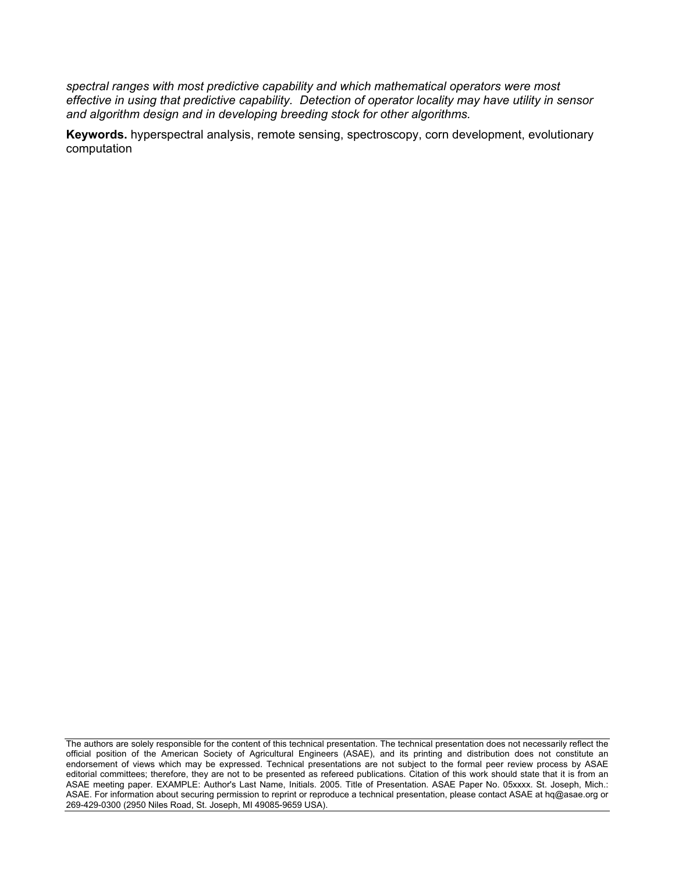*spectral ranges with most predictive capability and which mathematical operators were most effective in using that predictive capability. Detection of operator locality may have utility in sensor and algorithm design and in developing breeding stock for other algorithms.* 

**Keywords.** hyperspectral analysis, remote sensing, spectroscopy, corn development, evolutionary computation

The authors are solely responsible for the content of this technical presentation. The technical presentation does not necessarily reflect the official position of the American Society of Agricultural Engineers (ASAE), and its printing and distribution does not constitute an endorsement of views which may be expressed. Technical presentations are not subject to the formal peer review process by ASAE editorial committees; therefore, they are not to be presented as refereed publications. Citation of this work should state that it is from an ASAE meeting paper. EXAMPLE: Author's Last Name, Initials. 2005. Title of Presentation. ASAE Paper No. 05xxxx. St. Joseph, Mich.: ASAE. For information about securing permission to reprint or reproduce a technical presentation, please contact ASAE at hq@asae.org or 269-429-0300 (2950 Niles Road, St. Joseph, MI 49085-9659 USA).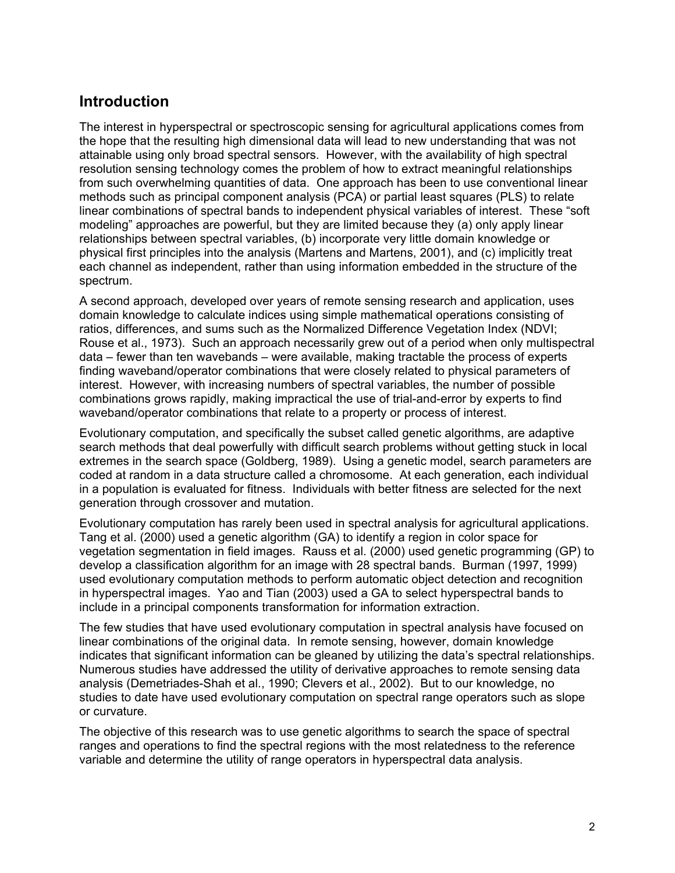### **Introduction**

The interest in hyperspectral or spectroscopic sensing for agricultural applications comes from the hope that the resulting high dimensional data will lead to new understanding that was not attainable using only broad spectral sensors. However, with the availability of high spectral resolution sensing technology comes the problem of how to extract meaningful relationships from such overwhelming quantities of data. One approach has been to use conventional linear methods such as principal component analysis (PCA) or partial least squares (PLS) to relate linear combinations of spectral bands to independent physical variables of interest. These "soft modeling" approaches are powerful, but they are limited because they (a) only apply linear relationships between spectral variables, (b) incorporate very little domain knowledge or physical first principles into the analysis (Martens and Martens, 2001), and (c) implicitly treat each channel as independent, rather than using information embedded in the structure of the spectrum.

A second approach, developed over years of remote sensing research and application, uses domain knowledge to calculate indices using simple mathematical operations consisting of ratios, differences, and sums such as the Normalized Difference Vegetation Index (NDVI; Rouse et al., 1973). Such an approach necessarily grew out of a period when only multispectral data – fewer than ten wavebands – were available, making tractable the process of experts finding waveband/operator combinations that were closely related to physical parameters of interest. However, with increasing numbers of spectral variables, the number of possible combinations grows rapidly, making impractical the use of trial-and-error by experts to find waveband/operator combinations that relate to a property or process of interest.

Evolutionary computation, and specifically the subset called genetic algorithms, are adaptive search methods that deal powerfully with difficult search problems without getting stuck in local extremes in the search space (Goldberg, 1989). Using a genetic model, search parameters are coded at random in a data structure called a chromosome. At each generation, each individual in a population is evaluated for fitness. Individuals with better fitness are selected for the next generation through crossover and mutation.

Evolutionary computation has rarely been used in spectral analysis for agricultural applications. Tang et al. (2000) used a genetic algorithm (GA) to identify a region in color space for vegetation segmentation in field images. Rauss et al. (2000) used genetic programming (GP) to develop a classification algorithm for an image with 28 spectral bands. Burman (1997, 1999) used evolutionary computation methods to perform automatic object detection and recognition in hyperspectral images. Yao and Tian (2003) used a GA to select hyperspectral bands to include in a principal components transformation for information extraction.

The few studies that have used evolutionary computation in spectral analysis have focused on linear combinations of the original data. In remote sensing, however, domain knowledge indicates that significant information can be gleaned by utilizing the data's spectral relationships. Numerous studies have addressed the utility of derivative approaches to remote sensing data analysis (Demetriades-Shah et al., 1990; Clevers et al., 2002). But to our knowledge, no studies to date have used evolutionary computation on spectral range operators such as slope or curvature.

The objective of this research was to use genetic algorithms to search the space of spectral ranges and operations to find the spectral regions with the most relatedness to the reference variable and determine the utility of range operators in hyperspectral data analysis.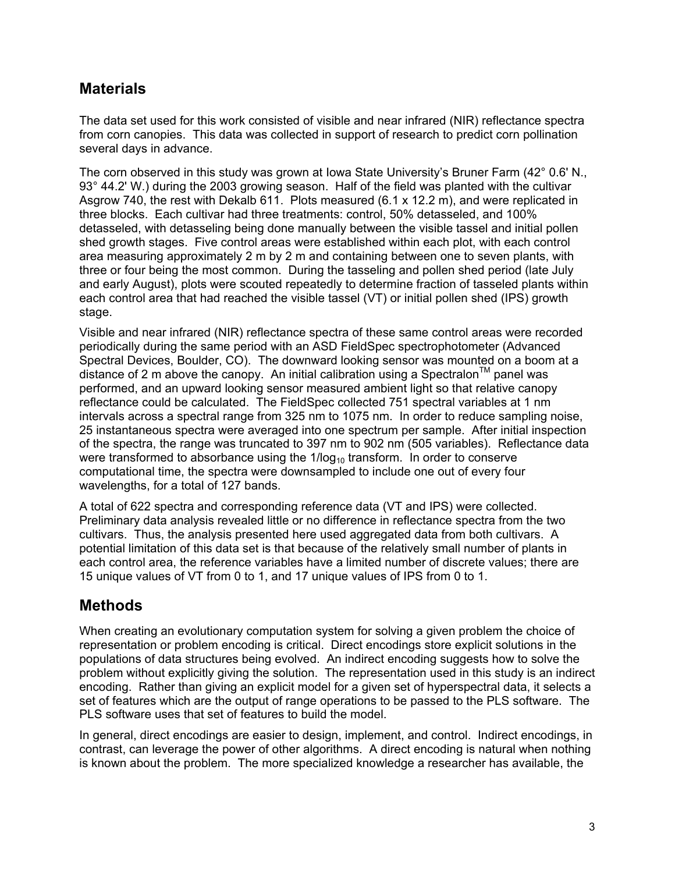## **Materials**

The data set used for this work consisted of visible and near infrared (NIR) reflectance spectra from corn canopies. This data was collected in support of research to predict corn pollination several days in advance.

The corn observed in this study was grown at Iowa State University's Bruner Farm (42° 0.6' N., 93° 44.2' W.) during the 2003 growing season. Half of the field was planted with the cultivar Asgrow 740, the rest with Dekalb 611. Plots measured (6.1 x 12.2 m), and were replicated in three blocks. Each cultivar had three treatments: control, 50% detasseled, and 100% detasseled, with detasseling being done manually between the visible tassel and initial pollen shed growth stages. Five control areas were established within each plot, with each control area measuring approximately 2 m by 2 m and containing between one to seven plants, with three or four being the most common. During the tasseling and pollen shed period (late July and early August), plots were scouted repeatedly to determine fraction of tasseled plants within each control area that had reached the visible tassel (VT) or initial pollen shed (IPS) growth stage.

Visible and near infrared (NIR) reflectance spectra of these same control areas were recorded periodically during the same period with an ASD FieldSpec spectrophotometer (Advanced Spectral Devices, Boulder, CO). The downward looking sensor was mounted on a boom at a distance of 2 m above the canopy. An initial calibration using a Spectralon<sup>TM</sup> panel was performed, and an upward looking sensor measured ambient light so that relative canopy reflectance could be calculated. The FieldSpec collected 751 spectral variables at 1 nm intervals across a spectral range from 325 nm to 1075 nm. In order to reduce sampling noise, 25 instantaneous spectra were averaged into one spectrum per sample. After initial inspection of the spectra, the range was truncated to 397 nm to 902 nm (505 variables). Reflectance data were transformed to absorbance using the  $1/log_{10}$  transform. In order to conserve computational time, the spectra were downsampled to include one out of every four wavelengths, for a total of 127 bands.

A total of 622 spectra and corresponding reference data (VT and IPS) were collected. Preliminary data analysis revealed little or no difference in reflectance spectra from the two cultivars. Thus, the analysis presented here used aggregated data from both cultivars. A potential limitation of this data set is that because of the relatively small number of plants in each control area, the reference variables have a limited number of discrete values; there are 15 unique values of VT from 0 to 1, and 17 unique values of IPS from 0 to 1.

## **Methods**

When creating an evolutionary computation system for solving a given problem the choice of representation or problem encoding is critical. Direct encodings store explicit solutions in the populations of data structures being evolved. An indirect encoding suggests how to solve the problem without explicitly giving the solution. The representation used in this study is an indirect encoding. Rather than giving an explicit model for a given set of hyperspectral data, it selects a set of features which are the output of range operations to be passed to the PLS software. The PLS software uses that set of features to build the model.

In general, direct encodings are easier to design, implement, and control. Indirect encodings, in contrast, can leverage the power of other algorithms. A direct encoding is natural when nothing is known about the problem. The more specialized knowledge a researcher has available, the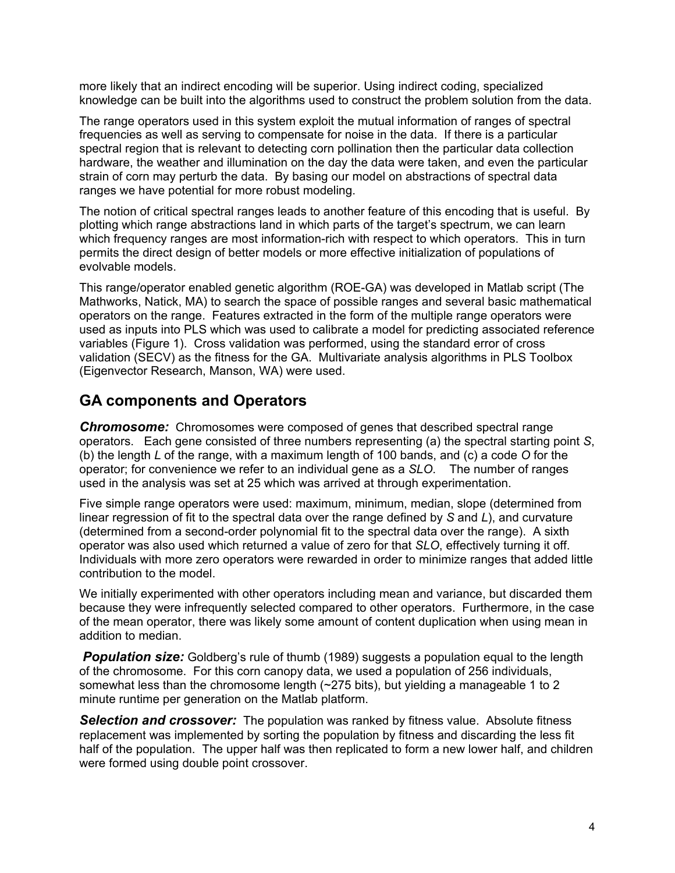more likely that an indirect encoding will be superior. Using indirect coding, specialized knowledge can be built into the algorithms used to construct the problem solution from the data.

The range operators used in this system exploit the mutual information of ranges of spectral frequencies as well as serving to compensate for noise in the data. If there is a particular spectral region that is relevant to detecting corn pollination then the particular data collection hardware, the weather and illumination on the day the data were taken, and even the particular strain of corn may perturb the data. By basing our model on abstractions of spectral data ranges we have potential for more robust modeling.

The notion of critical spectral ranges leads to another feature of this encoding that is useful. By plotting which range abstractions land in which parts of the target's spectrum, we can learn which frequency ranges are most information-rich with respect to which operators. This in turn permits the direct design of better models or more effective initialization of populations of evolvable models.

This range/operator enabled genetic algorithm (ROE-GA) was developed in Matlab script (The Mathworks, Natick, MA) to search the space of possible ranges and several basic mathematical operators on the range. Features extracted in the form of the multiple range operators were used as inputs into PLS which was used to calibrate a model for predicting associated reference variables (Figure 1). Cross validation was performed, using the standard error of cross validation (SECV) as the fitness for the GA. Multivariate analysis algorithms in PLS Toolbox (Eigenvector Research, Manson, WA) were used.

### **GA components and Operators**

*Chromosome:* Chromosomes were composed of genes that described spectral range operators. Each gene consisted of three numbers representing (a) the spectral starting point *S*, (b) the length *L* of the range, with a maximum length of 100 bands, and (c) a code *O* for the operator; for convenience we refer to an individual gene as a *SLO*. The number of ranges used in the analysis was set at 25 which was arrived at through experimentation.

Five simple range operators were used: maximum, minimum, median, slope (determined from linear regression of fit to the spectral data over the range defined by *S* and *L*), and curvature (determined from a second-order polynomial fit to the spectral data over the range). A sixth operator was also used which returned a value of zero for that *SLO*, effectively turning it off. Individuals with more zero operators were rewarded in order to minimize ranges that added little contribution to the model.

We initially experimented with other operators including mean and variance, but discarded them because they were infrequently selected compared to other operators. Furthermore, in the case of the mean operator, there was likely some amount of content duplication when using mean in addition to median.

**Population size:** Goldberg's rule of thumb (1989) suggests a population equal to the length of the chromosome. For this corn canopy data, we used a population of 256 individuals, somewhat less than the chromosome length (~275 bits), but yielding a manageable 1 to 2 minute runtime per generation on the Matlab platform.

**Selection and crossover:** The population was ranked by fitness value. Absolute fitness replacement was implemented by sorting the population by fitness and discarding the less fit half of the population. The upper half was then replicated to form a new lower half, and children were formed using double point crossover.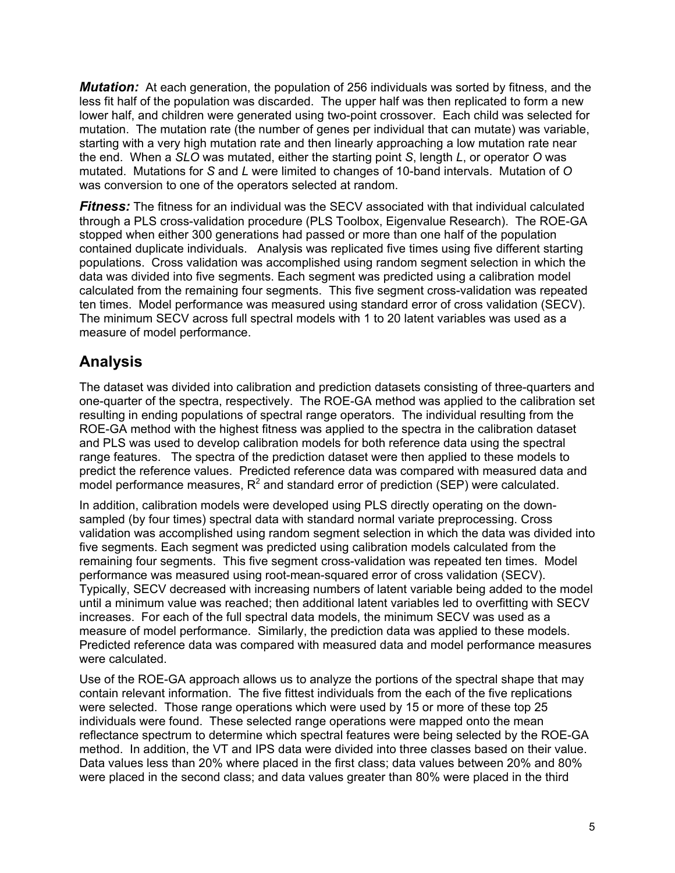*Mutation:* At each generation, the population of 256 individuals was sorted by fitness, and the less fit half of the population was discarded. The upper half was then replicated to form a new lower half, and children were generated using two-point crossover. Each child was selected for mutation. The mutation rate (the number of genes per individual that can mutate) was variable, starting with a very high mutation rate and then linearly approaching a low mutation rate near the end. When a *SLO* was mutated, either the starting point *S*, length *L*, or operator *O* was mutated. Mutations for *S* and *L* were limited to changes of 10-band intervals. Mutation of *O* was conversion to one of the operators selected at random.

*Fitness:* The fitness for an individual was the SECV associated with that individual calculated through a PLS cross-validation procedure (PLS Toolbox, Eigenvalue Research). The ROE-GA stopped when either 300 generations had passed or more than one half of the population contained duplicate individuals. Analysis was replicated five times using five different starting populations. Cross validation was accomplished using random segment selection in which the data was divided into five segments. Each segment was predicted using a calibration model calculated from the remaining four segments. This five segment cross-validation was repeated ten times. Model performance was measured using standard error of cross validation (SECV). The minimum SECV across full spectral models with 1 to 20 latent variables was used as a measure of model performance.

## **Analysis**

The dataset was divided into calibration and prediction datasets consisting of three-quarters and one-quarter of the spectra, respectively. The ROE-GA method was applied to the calibration set resulting in ending populations of spectral range operators. The individual resulting from the ROE-GA method with the highest fitness was applied to the spectra in the calibration dataset and PLS was used to develop calibration models for both reference data using the spectral range features. The spectra of the prediction dataset were then applied to these models to predict the reference values. Predicted reference data was compared with measured data and model performance measures,  $R^2$  and standard error of prediction (SEP) were calculated.

In addition, calibration models were developed using PLS directly operating on the downsampled (by four times) spectral data with standard normal variate preprocessing. Cross validation was accomplished using random segment selection in which the data was divided into five segments. Each segment was predicted using calibration models calculated from the remaining four segments. This five segment cross-validation was repeated ten times. Model performance was measured using root-mean-squared error of cross validation (SECV). Typically, SECV decreased with increasing numbers of latent variable being added to the model until a minimum value was reached; then additional latent variables led to overfitting with SECV increases. For each of the full spectral data models, the minimum SECV was used as a measure of model performance. Similarly, the prediction data was applied to these models. Predicted reference data was compared with measured data and model performance measures were calculated.

Use of the ROE-GA approach allows us to analyze the portions of the spectral shape that may contain relevant information. The five fittest individuals from the each of the five replications were selected. Those range operations which were used by 15 or more of these top 25 individuals were found. These selected range operations were mapped onto the mean reflectance spectrum to determine which spectral features were being selected by the ROE-GA method. In addition, the VT and IPS data were divided into three classes based on their value. Data values less than 20% where placed in the first class; data values between 20% and 80% were placed in the second class; and data values greater than 80% were placed in the third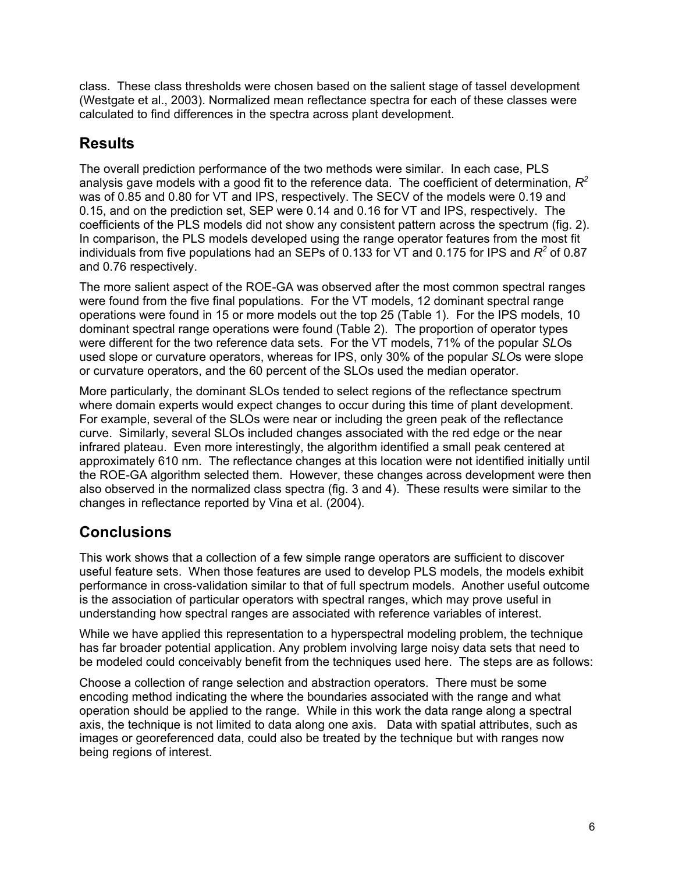class. These class thresholds were chosen based on the salient stage of tassel development (Westgate et al., 2003). Normalized mean reflectance spectra for each of these classes were calculated to find differences in the spectra across plant development.

## **Results**

The overall prediction performance of the two methods were similar. In each case, PLS analysis gave models with a good fit to the reference data. The coefficient of determination, *R<sup>2</sup>* was of 0.85 and 0.80 for VT and IPS, respectively. The SECV of the models were 0.19 and 0.15, and on the prediction set, SEP were 0.14 and 0.16 for VT and IPS, respectively. The coefficients of the PLS models did not show any consistent pattern across the spectrum (fig. 2). In comparison, the PLS models developed using the range operator features from the most fit individuals from five populations had an SEPs of 0.133 for VT and 0.175 for IPS and  $R^2$  of 0.87 and 0.76 respectively.

The more salient aspect of the ROE-GA was observed after the most common spectral ranges were found from the five final populations. For the VT models, 12 dominant spectral range operations were found in 15 or more models out the top 25 (Table 1). For the IPS models, 10 dominant spectral range operations were found (Table 2). The proportion of operator types were different for the two reference data sets. For the VT models, 71% of the popular *SLO*s used slope or curvature operators, whereas for IPS, only 30% of the popular *SLO*s were slope or curvature operators, and the 60 percent of the SLOs used the median operator.

More particularly, the dominant SLOs tended to select regions of the reflectance spectrum where domain experts would expect changes to occur during this time of plant development. For example, several of the SLOs were near or including the green peak of the reflectance curve. Similarly, several SLOs included changes associated with the red edge or the near infrared plateau. Even more interestingly, the algorithm identified a small peak centered at approximately 610 nm. The reflectance changes at this location were not identified initially until the ROE-GA algorithm selected them. However, these changes across development were then also observed in the normalized class spectra (fig. 3 and 4). These results were similar to the changes in reflectance reported by Vina et al. (2004).

## **Conclusions**

This work shows that a collection of a few simple range operators are sufficient to discover useful feature sets. When those features are used to develop PLS models, the models exhibit performance in cross-validation similar to that of full spectrum models. Another useful outcome is the association of particular operators with spectral ranges, which may prove useful in understanding how spectral ranges are associated with reference variables of interest.

While we have applied this representation to a hyperspectral modeling problem, the technique has far broader potential application. Any problem involving large noisy data sets that need to be modeled could conceivably benefit from the techniques used here. The steps are as follows:

Choose a collection of range selection and abstraction operators. There must be some encoding method indicating the where the boundaries associated with the range and what operation should be applied to the range. While in this work the data range along a spectral axis, the technique is not limited to data along one axis. Data with spatial attributes, such as images or georeferenced data, could also be treated by the technique but with ranges now being regions of interest.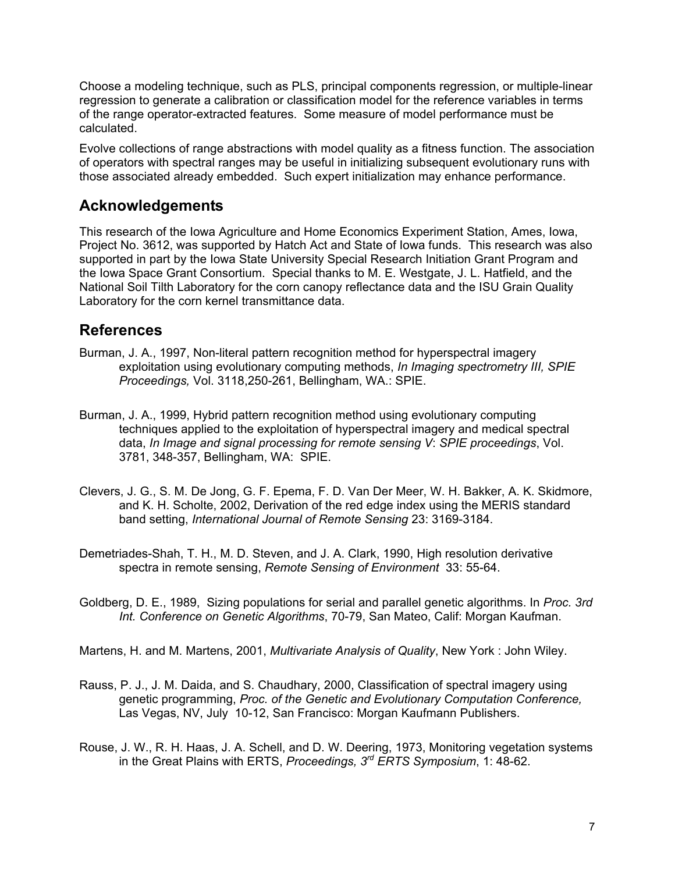Choose a modeling technique, such as PLS, principal components regression, or multiple-linear regression to generate a calibration or classification model for the reference variables in terms of the range operator-extracted features. Some measure of model performance must be calculated.

Evolve collections of range abstractions with model quality as a fitness function. The association of operators with spectral ranges may be useful in initializing subsequent evolutionary runs with those associated already embedded. Such expert initialization may enhance performance.

### **Acknowledgements**

This research of the Iowa Agriculture and Home Economics Experiment Station, Ames, Iowa, Project No. 3612, was supported by Hatch Act and State of Iowa funds. This research was also supported in part by the Iowa State University Special Research Initiation Grant Program and the Iowa Space Grant Consortium. Special thanks to M. E. Westgate, J. L. Hatfield, and the National Soil Tilth Laboratory for the corn canopy reflectance data and the ISU Grain Quality Laboratory for the corn kernel transmittance data.

### **References**

- Burman, J. A., 1997, Non-literal pattern recognition method for hyperspectral imagery exploitation using evolutionary computing methods, *In Imaging spectrometry III, SPIE Proceedings,* Vol. 3118,250-261, Bellingham, WA.: SPIE.
- Burman, J. A., 1999, Hybrid pattern recognition method using evolutionary computing techniques applied to the exploitation of hyperspectral imagery and medical spectral data, *In Image and signal processing for remote sensing V*: *SPIE proceedings*, Vol. 3781, 348-357, Bellingham, WA: SPIE.
- Clevers, J. G., S. M. De Jong, G. F. Epema, F. D. Van Der Meer, W. H. Bakker, A. K. Skidmore, and K. H. Scholte, 2002, Derivation of the red edge index using the MERIS standard band setting, *International Journal of Remote Sensing* 23: 3169-3184.
- Demetriades-Shah, T. H., M. D. Steven, and J. A. Clark, 1990, High resolution derivative spectra in remote sensing, *Remote Sensing of Environment* 33: 55-64.
- Goldberg, D. E., 1989, Sizing populations for serial and parallel genetic algorithms. In *Proc. 3rd Int. Conference on Genetic Algorithms*, 70-79, San Mateo, Calif: Morgan Kaufman.

Martens, H. and M. Martens, 2001, *Multivariate Analysis of Quality*, New York : John Wiley.

- Rauss, P. J., J. M. Daida, and S. Chaudhary, 2000, Classification of spectral imagery using genetic programming, *Proc. of the Genetic and Evolutionary Computation Conference,* Las Vegas, NV, July 10-12, San Francisco: Morgan Kaufmann Publishers.
- Rouse, J. W., R. H. Haas, J. A. Schell, and D. W. Deering, 1973, Monitoring vegetation systems in the Great Plains with ERTS, *Proceedings, 3rd ERTS Symposium*, 1: 48-62.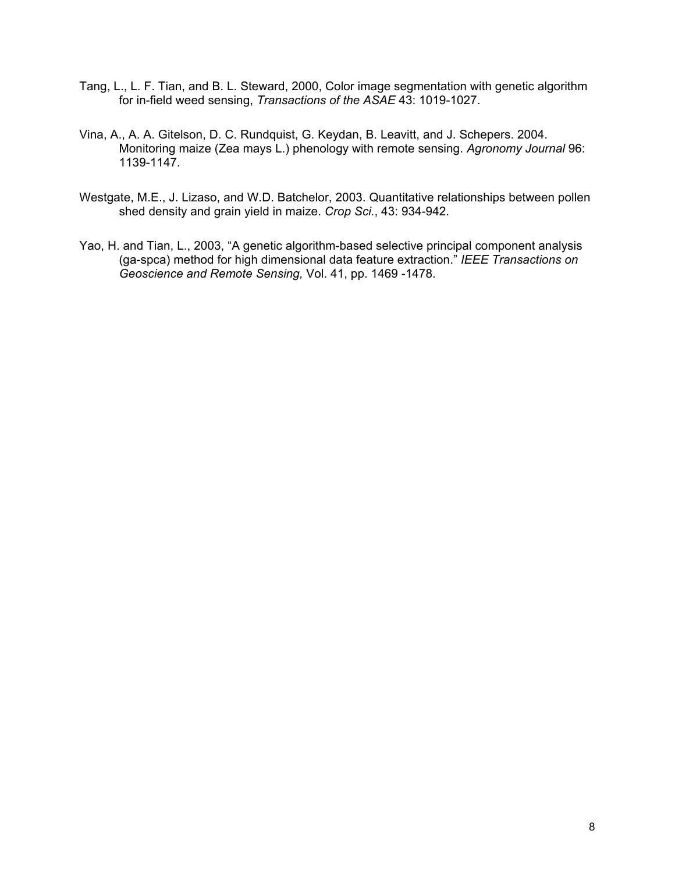- Tang, L., L. F. Tian, and B. L. Steward, 2000, Color image segmentation with genetic algorithm for in-field weed sensing, *Transactions of the ASAE* 43: 1019-1027.
- Vina, A., A. A. Gitelson, D. C. Rundquist, G. Keydan, B. Leavitt, and J. Schepers. 2004. Monitoring maize (Zea mays L.) phenology with remote sensing. *Agronomy Journal* 96: 1139-1147.
- Westgate, M.E., J. Lizaso, and W.D. Batchelor, 2003. Quantitative relationships between pollen shed density and grain yield in maize. *Crop Sci.*, 43: 934-942.
- Yao, H. and Tian, L., 2003, "A genetic algorithm-based selective principal component analysis (ga-spca) method for high dimensional data feature extraction." *IEEE Transactions on Geoscience and Remote Sensing,* Vol. 41, pp. 1469 -1478.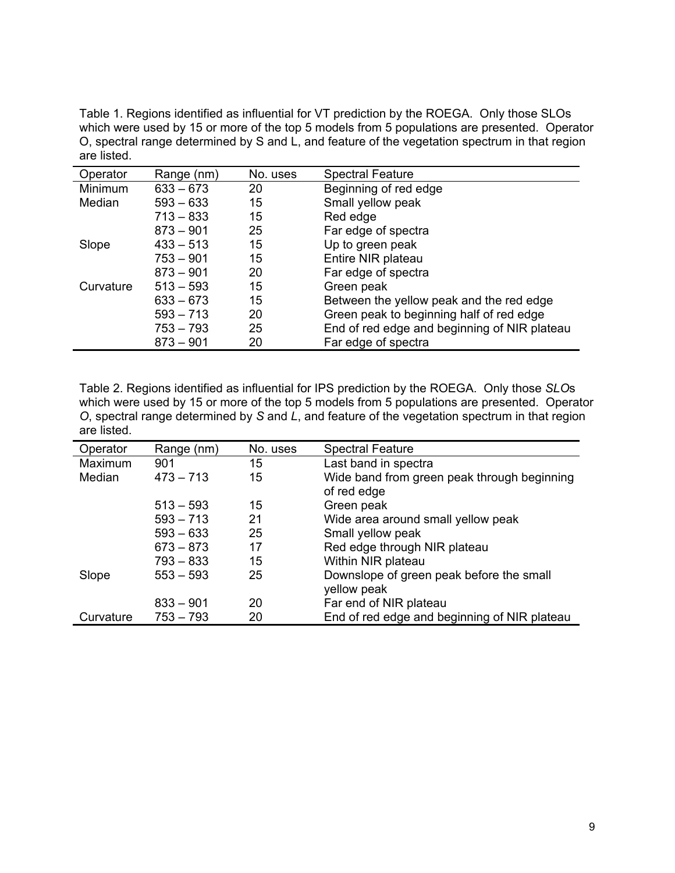Table 1. Regions identified as influential for VT prediction by the ROEGA. Only those SLOs which were used by 15 or more of the top 5 models from 5 populations are presented. Operator O, spectral range determined by S and L, and feature of the vegetation spectrum in that region are listed.

| Operator       | Range (nm)  | No. uses | <b>Spectral Feature</b>                      |
|----------------|-------------|----------|----------------------------------------------|
| <b>Minimum</b> | $633 - 673$ | 20       | Beginning of red edge                        |
| Median         | $593 - 633$ | 15       | Small yellow peak                            |
|                | $713 - 833$ | 15       | Red edge                                     |
|                | $873 - 901$ | 25       | Far edge of spectra                          |
| Slope          | $433 - 513$ | 15       | Up to green peak                             |
|                | $753 - 901$ | 15       | Entire NIR plateau                           |
|                | $873 - 901$ | 20       | Far edge of spectra                          |
| Curvature      | $513 - 593$ | 15       | Green peak                                   |
|                | $633 - 673$ | 15       | Between the yellow peak and the red edge     |
|                | $593 - 713$ | 20       | Green peak to beginning half of red edge     |
|                | $753 - 793$ | 25       | End of red edge and beginning of NIR plateau |
|                | $873 - 901$ | 20       | Far edge of spectra                          |

Table 2. Regions identified as influential for IPS prediction by the ROEGA. Only those *SLO*s which were used by 15 or more of the top 5 models from 5 populations are presented. Operator *O*, spectral range determined by *S* and *L*, and feature of the vegetation spectrum in that region are listed.

| Operator  | Range (nm)  | No. uses | <b>Spectral Feature</b>                                    |
|-----------|-------------|----------|------------------------------------------------------------|
| Maximum   | 901         | 15       | Last band in spectra                                       |
| Median    | $473 - 713$ | 15       | Wide band from green peak through beginning<br>of red edge |
|           | $513 - 593$ | 15       | Green peak                                                 |
|           | $593 - 713$ | 21       | Wide area around small yellow peak                         |
|           | $593 - 633$ | 25       | Small yellow peak                                          |
|           | $673 - 873$ | 17       | Red edge through NIR plateau                               |
|           | $793 - 833$ | 15       | Within NIR plateau                                         |
| Slope     | $553 - 593$ | 25       | Downslope of green peak before the small<br>yellow peak    |
|           | $833 - 901$ | 20       | Far end of NIR plateau                                     |
| Curvature | $753 - 793$ | 20       | End of red edge and beginning of NIR plateau               |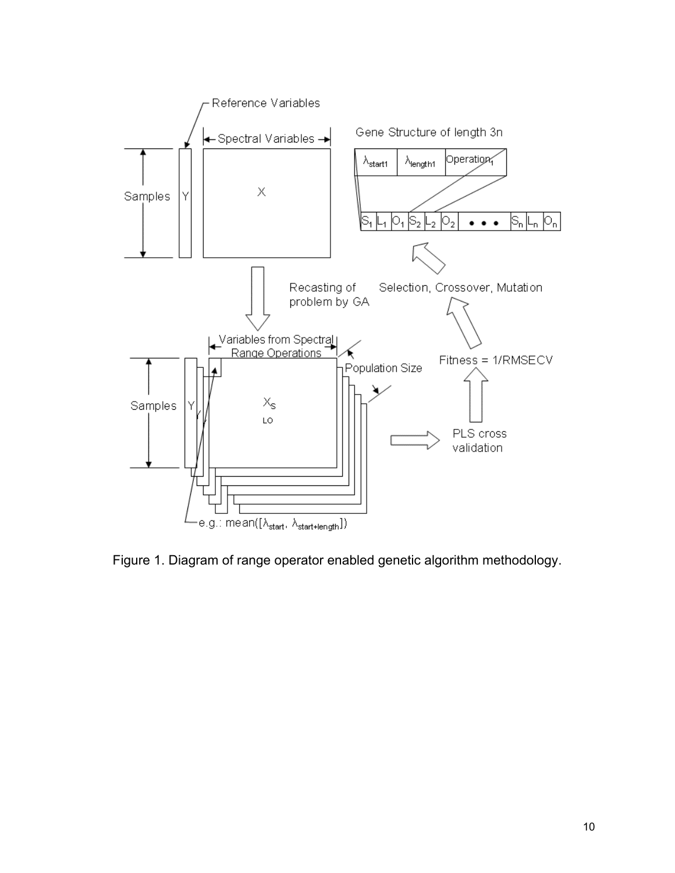

Figure 1. Diagram of range operator enabled genetic algorithm methodology.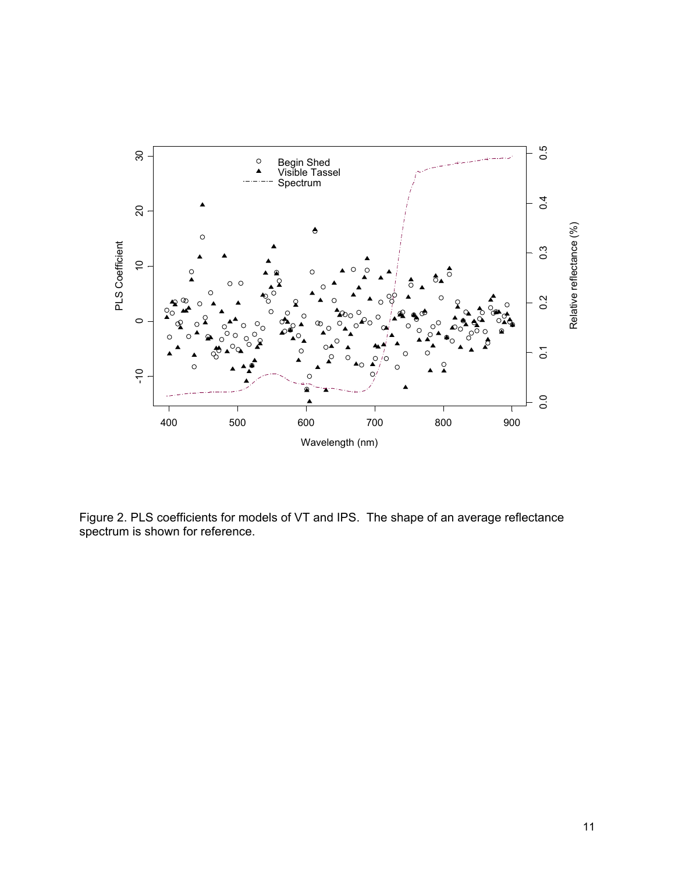

Figure 2. PLS coefficients for models of VT and IPS. The shape of an average reflectance spectrum is shown for reference.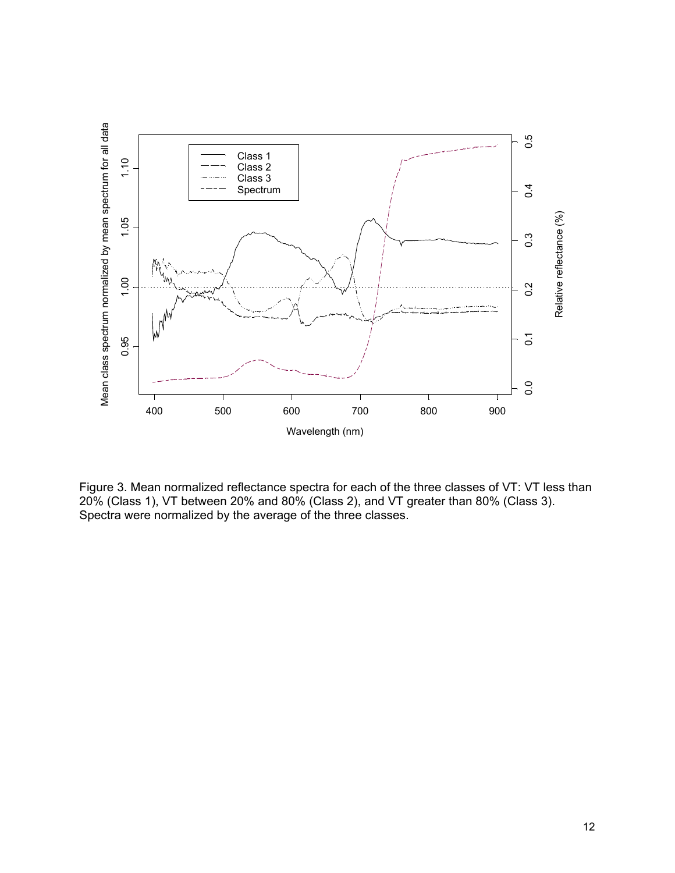

Figure 3. Mean normalized reflectance spectra for each of the three classes of VT: VT less than 20% (Class 1), VT between 20% and 80% (Class 2), and VT greater than 80% (Class 3). Spectra were normalized by the average of the three classes.